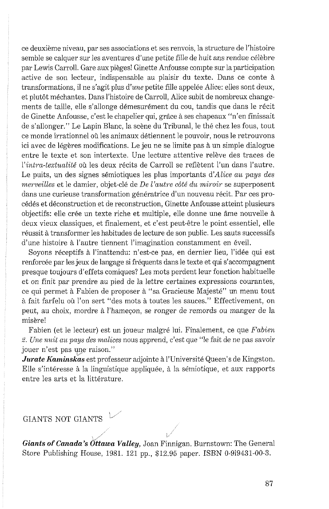ce deuxième niveau, par ses associations et ses renvois, la structure de l'histoire semble se calquer sur les aventures d'une petite fille de huit ans rendue célèbre par Lewis Carroll. Gare aux pigges! Ginette Anfousse compte sur la participation active de son lecteur, indispensable au plaisir du texte. Dans ce conte à transformations, il ne s'agit plus d'une petite fille appelée Alice: elles sont deux, et plutôt méchantes. Dans l'histoire de Carroll, Alice subit de nombreux changements de taille, elle s'allonge démesurément du cou, tandis que dans le récit de Ginette Anfousse, c'est le chapelier qui, grâce à ses chapeaux "n'en finissait de s'allonger." Le Lapin Blanc, la scène du Tribunal, le thé chez les fous, tout ce monde irrationnel où les animaux détiennent le pouvoir, nous le retrouvons ici avec de légères modifications. Le jeu ne se limite pas à un simple dialogue entre le texte et son intertexte. Une lecture attentive relève des traces de l'intra-textualité où les deux récits de Carroll se reflètent l'un dans l'autre. Le puits, un des signes sémiotiques les plus importants d'Alice au pays des merveilles et le damier, objet-clé de De l'autre côté du miroir se superposent dans une curieuse transformation génératrice d'un nouveau récit. Par ces procédés et déconstruction et de reconstruction, Ginette Anfousse atteint plusieurs objectifs: elle crée un texte riche et multiple, elle donne une âme nouvelle à deux vieux classiques, et finalement, et c'est peut-Gtre le point essentiel, elle réussit à transformer les habitudes de lecture de son public. Les sauts successifs d'une histoire à l'autre tiennent l'imagination constamment en éveil.

Soyons réceptifs à l'inattendu: n'est-ce pas, en dernier lieu, l'idée qui est renforcée par les jeux de langage si fréquents dans le texte et qui s'accompagnent presque toujours d'effets comiques? Les mots perdent leur fonction habituelle et on finit par prendre au pied de la lettre certaines expressions courantes, ce qui permet à Fabien de proposer à "sa Gracieuse Majesté" un menu tout à fait farfelu où l'on sert "des mots à toutes les sauces." Effectivement, on peut, au choix, mordre à l'hameçon, se ronger de remords ou manger de la misère!

Fabien (et le lecteur) est un joueur malgré lui. Finalement, ce que  $Fabin$ z. Une muit nu pays des malices nous apprend, c'est yue "le fait de ne pas savoir jouer n'est pas une raison."

*Jurate Kaminskas* est professeur adjointe à l'Université Queen's de Kingston. Elle s'intéresse à la linguistique appliquée, à la sémiotique, et aux rapports entre les arts et la littérature.

## GIANTS NOT GIANTS

*Giants of Canada's Ottawa Valley,* Joan Finnigan. Burnstown: The General Store Publishing House, 1981. 121 pp., \$12.95 paper. ISBN 0-919431-00-3.